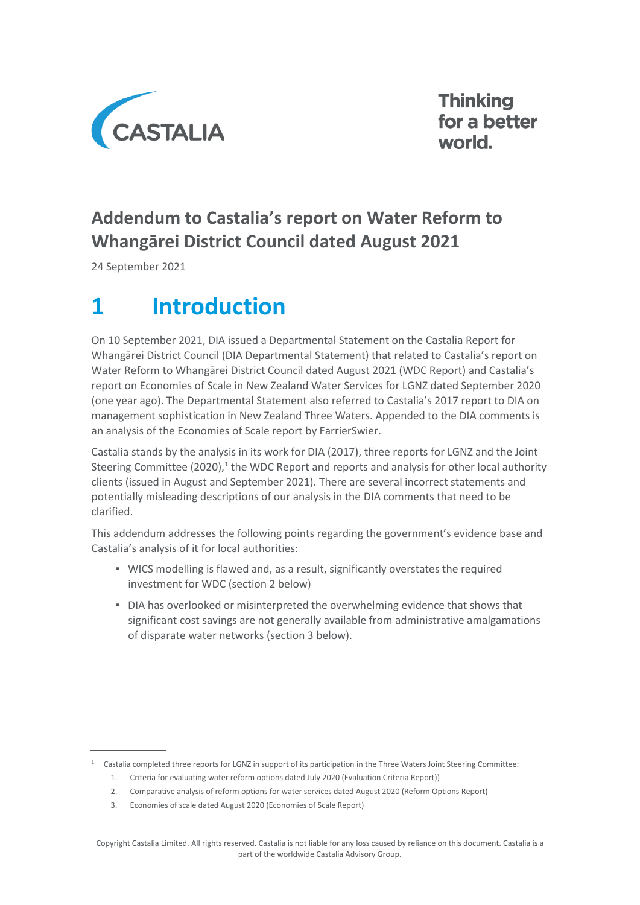

**Thinking** for a better world.

## **Addendum to Castalia's report on Water Reform to Whangārei District Council dated August 2021**

24 September 2021

# **1 Introduction**

On 10 September 2021, DIA issued a Departmental Statement on the Castalia Report for Whangārei District Council (DIA Departmental Statement) that related to Castalia's report on Water Reform to Whangārei District Council dated August 2021 (WDC Report) and Castalia's report on Economies of Scale in New Zealand Water Services for LGNZ dated September 2020 (one year ago). The Departmental Statement also referred to Castalia's 2017 report to DIA on management sophistication in New Zealand Three Waters. Appended to the DIA comments is an analysis of the Economies of Scale report by FarrierSwier.

Castalia stands by the analysis in its work for DIA (2017), three reports for LGNZ and the Joint Steering Committee (2020),<sup>1</sup> the WDC Report and reports and analysis for other local authority clients (issued in August and September 2021). There are several incorrect statements and potentially misleading descriptions of our analysis in the DIA comments that need to be clarified.

This addendum addresses the following points regarding the government's evidence base and Castalia's analysis of it for local authorities:

- WICS modelling is flawed and, as a result, significantly overstates the required investment for WDC (section 2 below)
- **DIA has overlooked or misinterpreted the overwhelming evidence that shows that** significant cost savings are not generally available from administrative amalgamations of disparate water networks (section 3 below).

<sup>1</sup> Castalia completed three reports for LGNZ in support of its participation in the Three Waters Joint Steering Committee:

<sup>1.</sup> Criteria for evaluating water reform options dated July 2020 (Evaluation Criteria Report))

<sup>2.</sup> Comparative analysis of reform options for water services dated August 2020 (Reform Options Report)

<sup>3.</sup> Economies of scale dated August 2020 (Economies of Scale Report)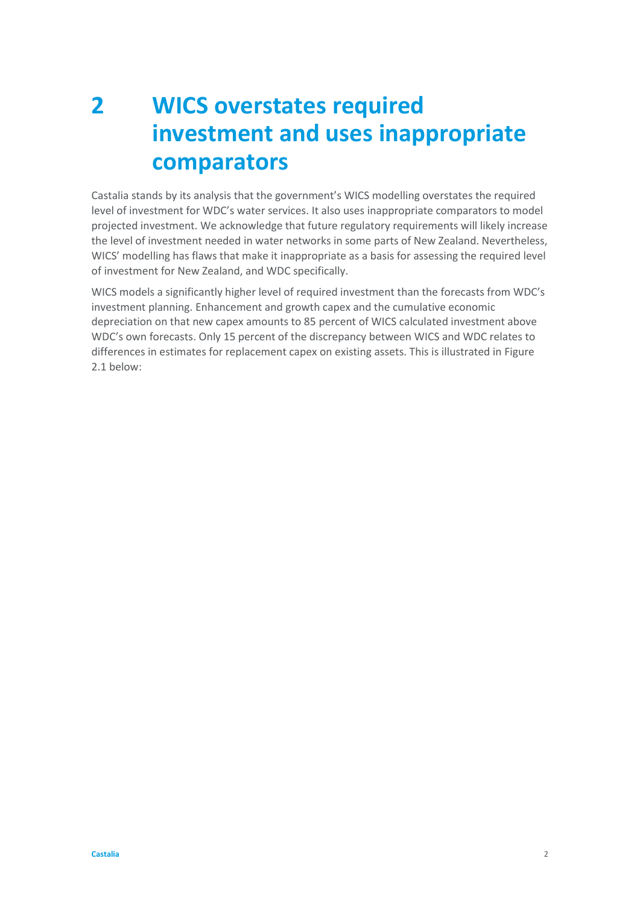## **2 WICS overstates required investment and uses inappropriate comparators**

Castalia stands by its analysis that the government's WICS modelling overstates the required level of investment for WDC's water services. It also uses inappropriate comparators to model projected investment. We acknowledge that future regulatory requirements will likely increase the level of investment needed in water networks in some parts of New Zealand. Nevertheless, WICS' modelling has flaws that make it inappropriate as a basis for assessing the required level of investment for New Zealand, and WDC specifically.

WICS models a significantly higher level of required investment than the forecasts from WDC's investment planning. Enhancement and growth capex and the cumulative economic depreciation on that new capex amounts to 85 percent of WICS calculated investment above WDC's own forecasts. Only 15 percent of the discrepancy between WICS and WDC relates to differences in estimates for replacement capex on existing assets. This is illustrated in [Figure](#page-2-0)  [2.1](#page-2-0) below: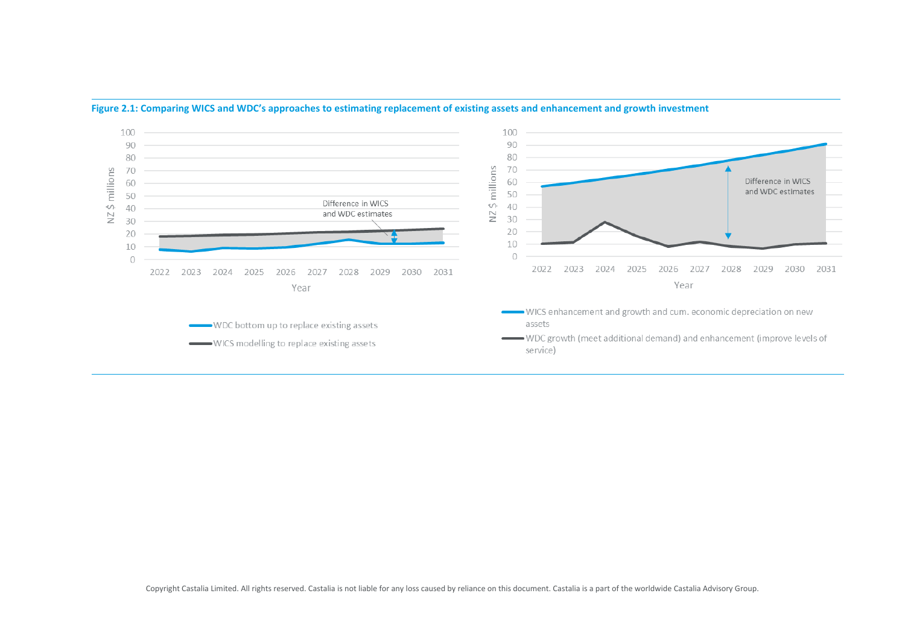<span id="page-2-0"></span>

#### **Figure 2.1: Comparing WICS and WDC's approaches to estimating replacement of existing assets and enhancement and growth investment**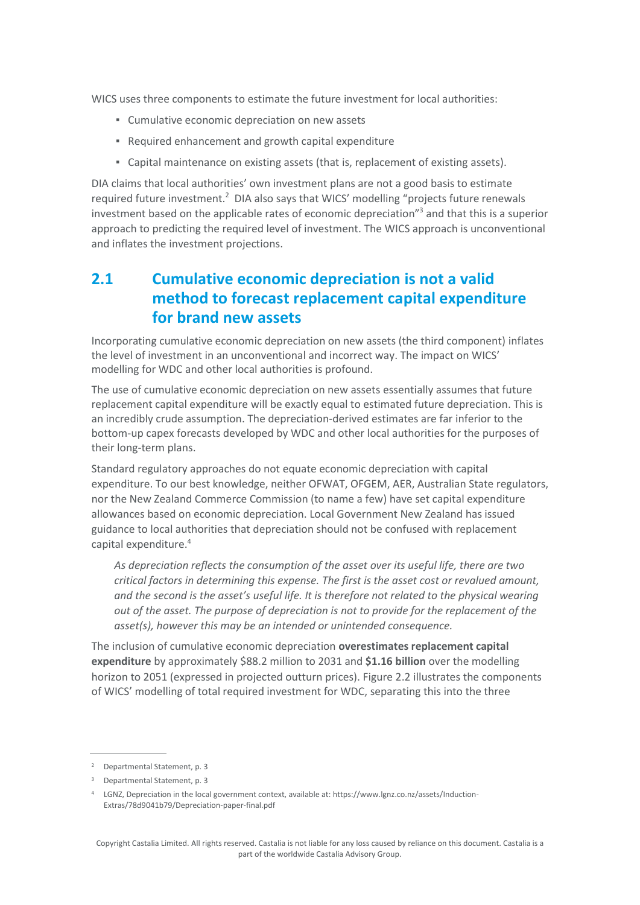WICS uses three components to estimate the future investment for local authorities:

- Cumulative economic depreciation on new assets
- Required enhancement and growth capital expenditure
- Capital maintenance on existing assets (that is, replacement of existing assets).

DIA claims that local authorities' own investment plans are not a good basis to estimate required future investment.<sup>2</sup> DIA also says that WICS' modelling "projects future renewals investment based on the applicable rates of economic depreciation"<sup>3</sup> and that this is a superior approach to predicting the required level of investment. The WICS approach is unconventional and inflates the investment projections.

### <span id="page-3-0"></span>**2.1 Cumulative economic depreciation is not a valid method to forecast replacement capital expenditure for brand new assets**

Incorporating cumulative economic depreciation on new assets (the third component) inflates the level of investment in an unconventional and incorrect way. The impact on WICS' modelling for WDC and other local authorities is profound.

The use of cumulative economic depreciation on new assets essentially assumes that future replacement capital expenditure will be exactly equal to estimated future depreciation. This is an incredibly crude assumption. The depreciation-derived estimates are far inferior to the bottom-up capex forecasts developed by WDC and other local authorities for the purposes of their long-term plans.

Standard regulatory approaches do not equate economic depreciation with capital expenditure. To our best knowledge, neither OFWAT, OFGEM, AER, Australian State regulators, nor the New Zealand Commerce Commission (to name a few) have set capital expenditure allowances based on economic depreciation. Local Government New Zealand has issued guidance to local authorities that depreciation should not be confused with replacement capital expenditure.<sup>4</sup>

*As depreciation reflects the consumption of the asset over its useful life, there are two critical factors in determining this expense. The first is the asset cost or revalued amount, and the second is the asset's useful life. It is therefore not related to the physical wearing out of the asset. The purpose of depreciation is not to provide for the replacement of the asset(s), however this may be an intended or unintended consequence.*

The inclusion of cumulative economic depreciation **overestimates replacement capital expenditure** by approximately \$88.2 million to 2031 and **\$1.16 billion** over the modelling horizon to 2051 (expressed in projected outturn prices)[. Figure 2.2](#page-4-0) illustrates the components of WICS' modelling of total required investment for WDC, separating this into the three

<sup>2</sup> Departmental Statement, p. 3

<sup>3</sup> Departmental Statement, p. 3

<sup>4</sup> LGNZ, Depreciation in the local government context, available at: https://www.lgnz.co.nz/assets/Induction-Extras/78d9041b79/Depreciation-paper-final.pdf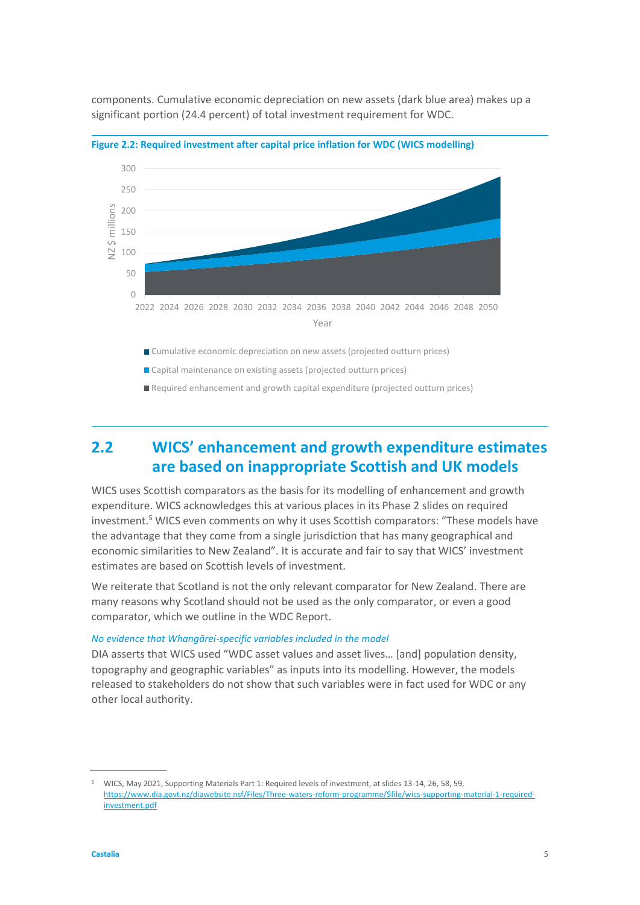

components. Cumulative economic depreciation on new assets (dark blue area) makes up a significant portion (24.4 percent) of total investment requirement for WDC.

<span id="page-4-0"></span>

Capital maintenance on existing assets (projected outturn prices)

■ Required enhancement and growth capital expenditure (projected outturn prices)

### **2.2 WICS' enhancement and growth expenditure estimates are based on inappropriate Scottish and UK models**

WICS uses Scottish comparators as the basis for its modelling of enhancement and growth expenditure. WICS acknowledges this at various places in its Phase 2 slides on required investment.<sup>5</sup> WICS even comments on why it uses Scottish comparators: "These models have the advantage that they come from a single jurisdiction that has many geographical and economic similarities to New Zealand". It is accurate and fair to say that WICS' investment estimates are based on Scottish levels of investment.

We reiterate that Scotland is not the only relevant comparator for New Zealand. There are many reasons why Scotland should not be used as the only comparator, or even a good comparator, which we outline in the WDC Report.

#### *No evidence that Whangārei-specific variables included in the model*

DIA asserts that WICS used "WDC asset values and asset lives… [and] population density, topography and geographic variables" as inputs into its modelling. However, the models released to stakeholders do not show that such variables were in fact used for WDC or any other local authority.

<sup>5</sup> WICS, May 2021, Supporting Materials Part 1: Required levels of investment, at slides 13-14, 26, 58, 59, [https://www.dia.govt.nz/diawebsite.nsf/Files/Three-waters-reform-programme/\\$file/wics-supporting-material-1-required](https://www.dia.govt.nz/diawebsite.nsf/Files/Three-waters-reform-programme/$file/wics-supporting-material-1-required-investment.pdf)[investment.pdf](https://www.dia.govt.nz/diawebsite.nsf/Files/Three-waters-reform-programme/$file/wics-supporting-material-1-required-investment.pdf)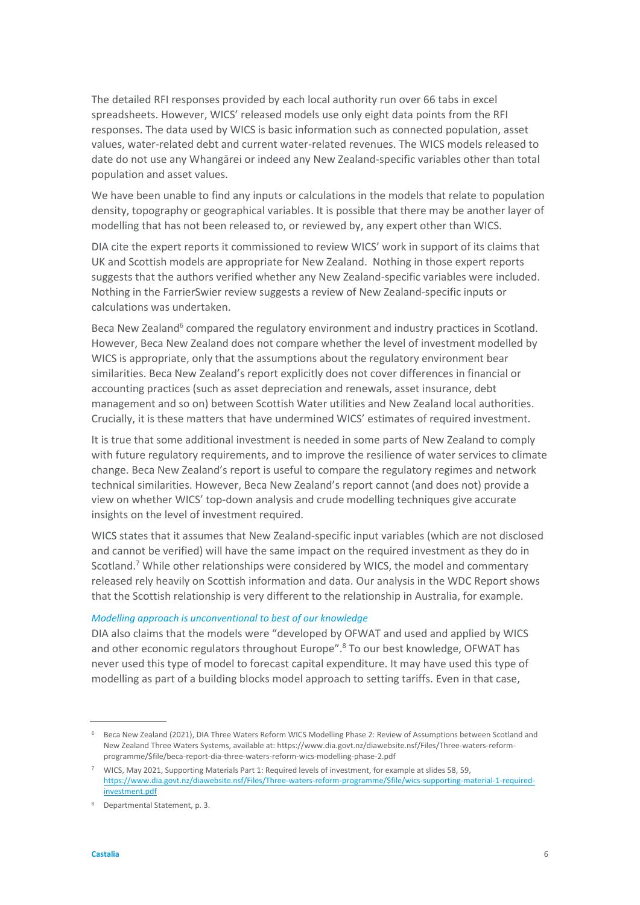The detailed RFI responses provided by each local authority run over 66 tabs in excel spreadsheets. However, WICS' released models use only eight data points from the RFI responses. The data used by WICS is basic information such as connected population, asset values, water-related debt and current water-related revenues. The WICS models released to date do not use any Whangārei or indeed any New Zealand-specific variables other than total population and asset values.

We have been unable to find any inputs or calculations in the models that relate to population density, topography or geographical variables. It is possible that there may be another layer of modelling that has not been released to, or reviewed by, any expert other than WICS.

DIA cite the expert reports it commissioned to review WICS' work in support of its claims that UK and Scottish models are appropriate for New Zealand. Nothing in those expert reports suggests that the authors verified whether any New Zealand-specific variables were included. Nothing in the FarrierSwier review suggests a review of New Zealand-specific inputs or calculations was undertaken.

Beca New Zealand<sup>6</sup> compared the regulatory environment and industry practices in Scotland. However, Beca New Zealand does not compare whether the level of investment modelled by WICS is appropriate, only that the assumptions about the regulatory environment bear similarities. Beca New Zealand's report explicitly does not cover differences in financial or accounting practices (such as asset depreciation and renewals, asset insurance, debt management and so on) between Scottish Water utilities and New Zealand local authorities. Crucially, it is these matters that have undermined WICS' estimates of required investment.

It is true that some additional investment is needed in some parts of New Zealand to comply with future regulatory requirements, and to improve the resilience of water services to climate change. Beca New Zealand's report is useful to compare the regulatory regimes and network technical similarities. However, Beca New Zealand's report cannot (and does not) provide a view on whether WICS' top-down analysis and crude modelling techniques give accurate insights on the level of investment required.

WICS states that it assumes that New Zealand-specific input variables (which are not disclosed and cannot be verified) will have the same impact on the required investment as they do in Scotland.<sup>7</sup> While other relationships were considered by WICS, the model and commentary released rely heavily on Scottish information and data. Our analysis in the WDC Report shows that the Scottish relationship is very different to the relationship in Australia, for example.

#### *Modelling approach is unconventional to best of our knowledge*

DIA also claims that the models were "developed by OFWAT and used and applied by WICS and other economic regulators throughout Europe". <sup>8</sup> To our best knowledge, OFWAT has never used this type of model to forecast capital expenditure. It may have used this type of modelling as part of a building blocks model approach to setting tariffs. Even in that case,

<sup>6</sup> Beca New Zealand (2021), DIA Three Waters Reform WICS Modelling Phase 2: Review of Assumptions between Scotland and New Zealand Three Waters Systems, available at: https://www.dia.govt.nz/diawebsite.nsf/Files/Three-waters-reformprogramme/\$file/beca-report-dia-three-waters-reform-wics-modelling-phase-2.pdf

 $7$  WICS, May 2021, Supporting Materials Part 1: Required levels of investment, for example at slides 58, 59, [https://www.dia.govt.nz/diawebsite.nsf/Files/Three-waters-reform-programme/\\$file/wics-supporting-material-1-required](https://www.dia.govt.nz/diawebsite.nsf/Files/Three-waters-reform-programme/$file/wics-supporting-material-1-required-investment.pdf)[investment.pdf](https://www.dia.govt.nz/diawebsite.nsf/Files/Three-waters-reform-programme/$file/wics-supporting-material-1-required-investment.pdf)

<sup>8</sup> Departmental Statement, p. 3.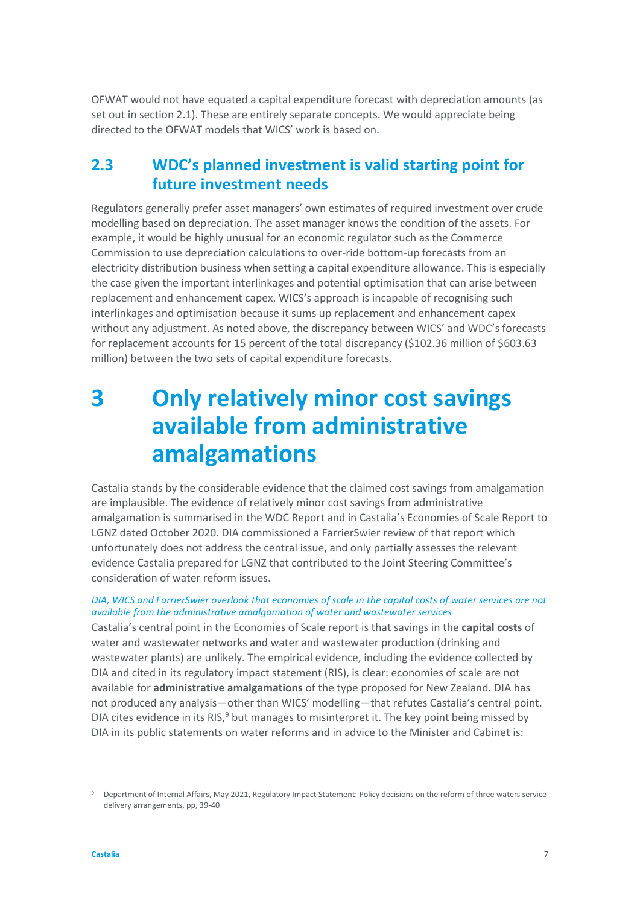OFWAT would not have equated a capital expenditure forecast with depreciation amounts (as set out in section [2.1\)](#page-3-0). These are entirely separate concepts. We would appreciate being directed to the OFWAT models that WICS' work is based on.

### **2.3 WDC's planned investment is valid starting point for future investment needs**

Regulators generally prefer asset managers' own estimates of required investment over crude modelling based on depreciation. The asset manager knows the condition of the assets. For example, it would be highly unusual for an economic regulator such as the Commerce Commission to use depreciation calculations to over-ride bottom-up forecasts from an electricity distribution business when setting a capital expenditure allowance. This is especially the case given the important interlinkages and potential optimisation that can arise between replacement and enhancement capex. WICS's approach is incapable of recognising such interlinkages and optimisation because it sums up replacement and enhancement capex without any adjustment. As noted above, the discrepancy between WICS' and WDC's forecasts for replacement accounts for 15 percent of the total discrepancy (\$102.36 million of \$603.63 million) between the two sets of capital expenditure forecasts.

## **3 Only relatively minor cost savings available from administrative amalgamations**

Castalia stands by the considerable evidence that the claimed cost savings from amalgamation are implausible. The evidence of relatively minor cost savings from administrative amalgamation is summarised in the WDC Report and in Castalia's Economies of Scale Report to LGNZ dated October 2020. DIA commissioned a FarrierSwier review of that report which unfortunately does not address the central issue, and only partially assesses the relevant evidence Castalia prepared for LGNZ that contributed to the Joint Steering Committee's consideration of water reform issues.

#### *DIA, WICS and FarrierSwier overlook that economies of scale in the capital costs of water services are not available from the administrative amalgamation of water and wastewater services*

Castalia's central point in the Economies of Scale report is that savings in the **capital costs** of water and wastewater networks and water and wastewater production (drinking and wastewater plants) are unlikely. The empirical evidence, including the evidence collected by DIA and cited in its regulatory impact statement (RIS), is clear: economies of scale are not available for **administrative amalgamations** of the type proposed for New Zealand. DIA has not produced any analysis—other than WICS' modelling—that refutes Castalia's central point. DIA cites evidence in its RIS, $9$  but manages to misinterpret it. The key point being missed by DIA in its public statements on water reforms and in advice to the Minister and Cabinet is:

<sup>9</sup> Department of Internal Affairs, May 2021, Regulatory Impact Statement: Policy decisions on the reform of three waters service delivery arrangements, pp, 39-40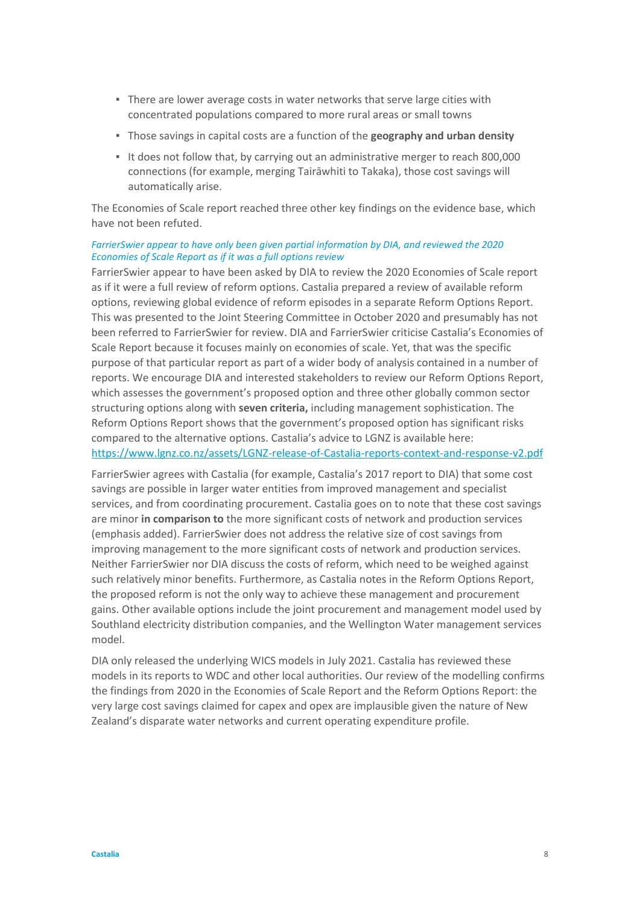- **.** There are lower average costs in water networks that serve large cities with concentrated populations compared to more rural areas or small towns
- Those savings in capital costs are a function of the **geography and urban density**
- It does not follow that, by carrying out an administrative merger to reach 800,000 connections (for example, merging Tairāwhiti to Takaka), those cost savings will automatically arise.

The Economies of Scale report reached three other key findings on the evidence base, which have not been refuted.

#### *FarrierSwier appear to have only been given partial information by DIA, and reviewed the 2020 Economies of Scale Report as if it was a full options review*

FarrierSwier appear to have been asked by DIA to review the 2020 Economies of Scale report as if it were a full review of reform options. Castalia prepared a review of available reform options, reviewing global evidence of reform episodes in a separate Reform Options Report. This was presented to the Joint Steering Committee in October 2020 and presumably has not been referred to FarrierSwier for review. DIA and FarrierSwier criticise Castalia's Economies of Scale Report because it focuses mainly on economies of scale. Yet, that was the specific purpose of that particular report as part of a wider body of analysis contained in a number of reports. We encourage DIA and interested stakeholders to review our Reform Options Report, which assesses the government's proposed option and three other globally common sector structuring options along with **seven criteria,** including management sophistication. The Reform Options Report shows that the government's proposed option has significant risks compared to the alternative options. Castalia's advice to LGNZ is available here: <https://www.lgnz.co.nz/assets/LGNZ-release-of-Castalia-reports-context-and-response-v2.pdf>

FarrierSwier agrees with Castalia (for example, Castalia's 2017 report to DIA) that some cost savings are possible in larger water entities from improved management and specialist services, and from coordinating procurement. Castalia goes on to note that these cost savings are minor **in comparison to** the more significant costs of network and production services (emphasis added). FarrierSwier does not address the relative size of cost savings from improving management to the more significant costs of network and production services. Neither FarrierSwier nor DIA discuss the costs of reform, which need to be weighed against such relatively minor benefits. Furthermore, as Castalia notes in the Reform Options Report, the proposed reform is not the only way to achieve these management and procurement gains. Other available options include the joint procurement and management model used by Southland electricity distribution companies, and the Wellington Water management services model.

DIA only released the underlying WICS models in July 2021. Castalia has reviewed these models in its reports to WDC and other local authorities. Our review of the modelling confirms the findings from 2020 in the Economies of Scale Report and the Reform Options Report: the very large cost savings claimed for capex and opex are implausible given the nature of New Zealand's disparate water networks and current operating expenditure profile.